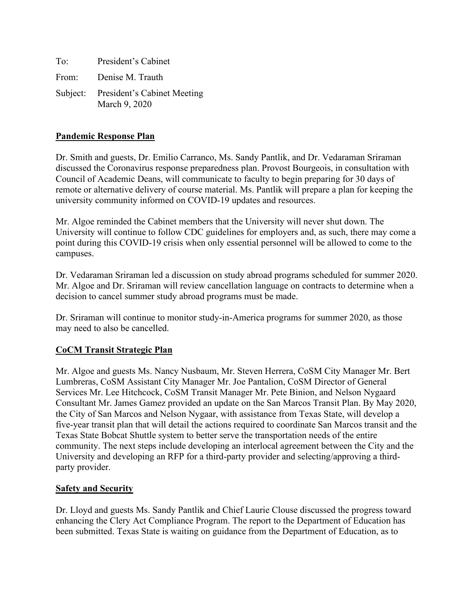To: President's Cabinet From: Denise M. Trauth Subject: President's Cabinet Meeting March 9, 2020

## **Pandemic Response Plan**

Dr. Smith and guests, Dr. Emilio Carranco, Ms. Sandy Pantlik, and Dr. Vedaraman Sriraman discussed the Coronavirus response preparedness plan. Provost Bourgeois, in consultation with Council of Academic Deans, will communicate to faculty to begin preparing for 30 days of remote or alternative delivery of course material. Ms. Pantlik will prepare a plan for keeping the university community informed on COVID-19 updates and resources.

Mr. Algoe reminded the Cabinet members that the University will never shut down. The University will continue to follow CDC guidelines for employers and, as such, there may come a point during this COVID-19 crisis when only essential personnel will be allowed to come to the campuses.

Dr. Vedaraman Sriraman led a discussion on study abroad programs scheduled for summer 2020. Mr. Algoe and Dr. Sriraman will review cancellation language on contracts to determine when a decision to cancel summer study abroad programs must be made.

Dr. Sriraman will continue to monitor study-in-America programs for summer 2020, as those may need to also be cancelled.

# **CoCM Transit Strategic Plan**

Mr. Algoe and guests Ms. Nancy Nusbaum, Mr. Steven Herrera, CoSM City Manager Mr. Bert Lumbreras, CoSM Assistant City Manager Mr. Joe Pantalion, CoSM Director of General Services Mr. Lee Hitchcock, CoSM Transit Manager Mr. Pete Binion, and Nelson Nygaard Consultant Mr. James Gamez provided an update on the San Marcos Transit Plan. By May 2020, the City of San Marcos and Nelson Nygaar, with assistance from Texas State, will develop a five-year transit plan that will detail the actions required to coordinate San Marcos transit and the Texas State Bobcat Shuttle system to better serve the transportation needs of the entire community. The next steps include developing an interlocal agreement between the City and the University and developing an RFP for a third-party provider and selecting/approving a thirdparty provider.

### **Safety and Security**

Dr. Lloyd and guests Ms. Sandy Pantlik and Chief Laurie Clouse discussed the progress toward enhancing the Clery Act Compliance Program. The report to the Department of Education has been submitted. Texas State is waiting on guidance from the Department of Education, as to